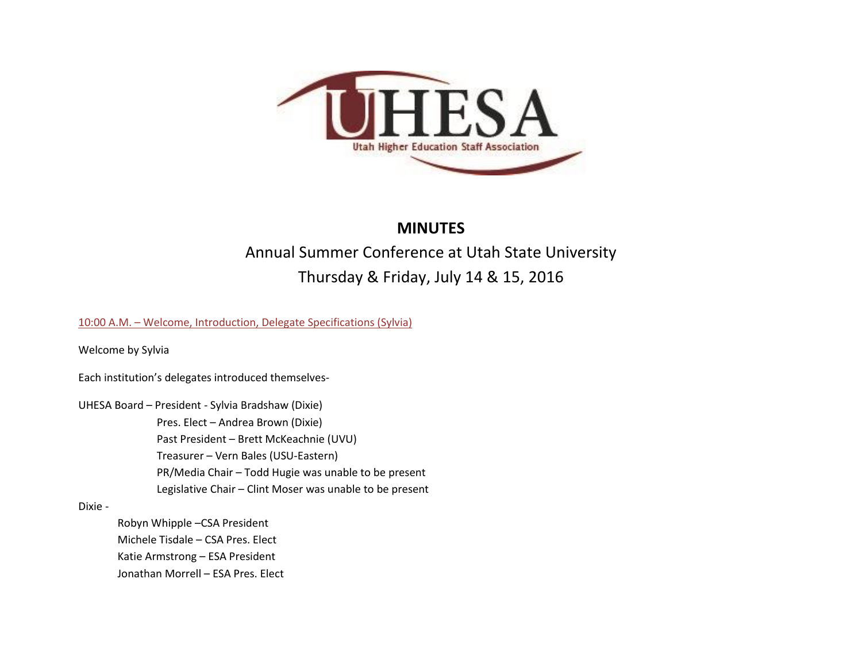

# **MINUTES**

# Annual Summer Conference at Utah State University Thursday & Friday, July 14 & 15, 2016

10:00 A.M. – Welcome, Introduction, Delegate Specifications (Sylvia)

Welcome by Sylvia

Each institution's delegates introduced themselves-

UHESA Board – President - Sylvia Bradshaw (Dixie)

Pres. Elect – Andrea Brown (Dixie) Past President – Brett McKeachnie (UVU) Treasurer – Vern Bales (USU-Eastern) PR/Media Chair – Todd Hugie was unable to be present Legislative Chair – Clint Moser was unable to be present

## Dixie -

Robyn Whipple –CSA President Michele Tisdale – CSA Pres. Elect Katie Armstrong – ESA President Jonathan Morrell – ESA Pres. Elect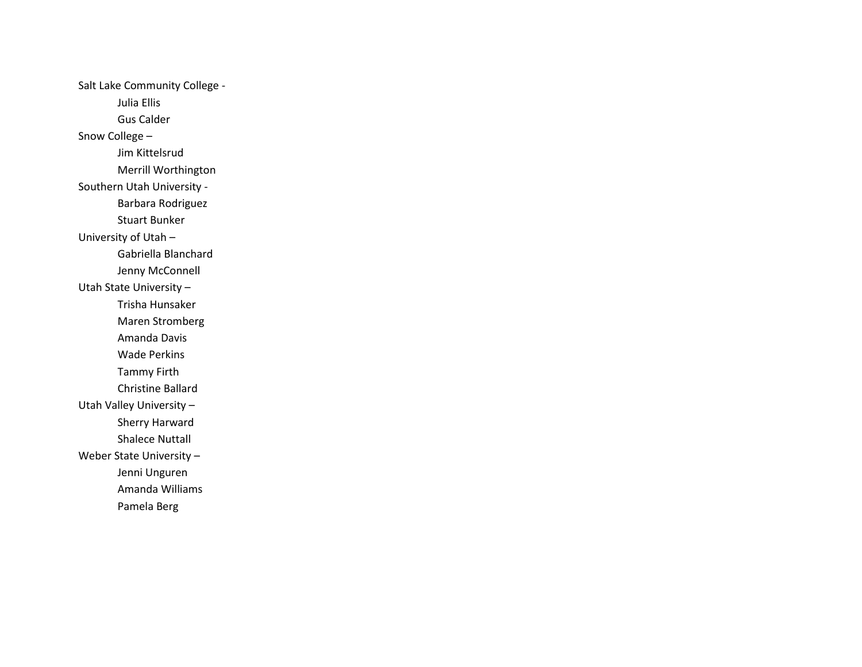Salt Lake Community College - Julia Ellis Gus Calder Snow College – Jim Kittelsrud Merrill Worthington Southern Utah University - Barbara Rodriguez Stuart Bunker University of Utah – Gabriella Blanchard Jenny McConnell Utah State University – Trisha Hunsaker Maren Stromberg Amanda Davis Wade Perkins Tammy Firth Christine Ballard Utah Valley University – Sherry Harward Shalece Nuttall Weber State University – Jenni Unguren Amanda Williams Pamela Berg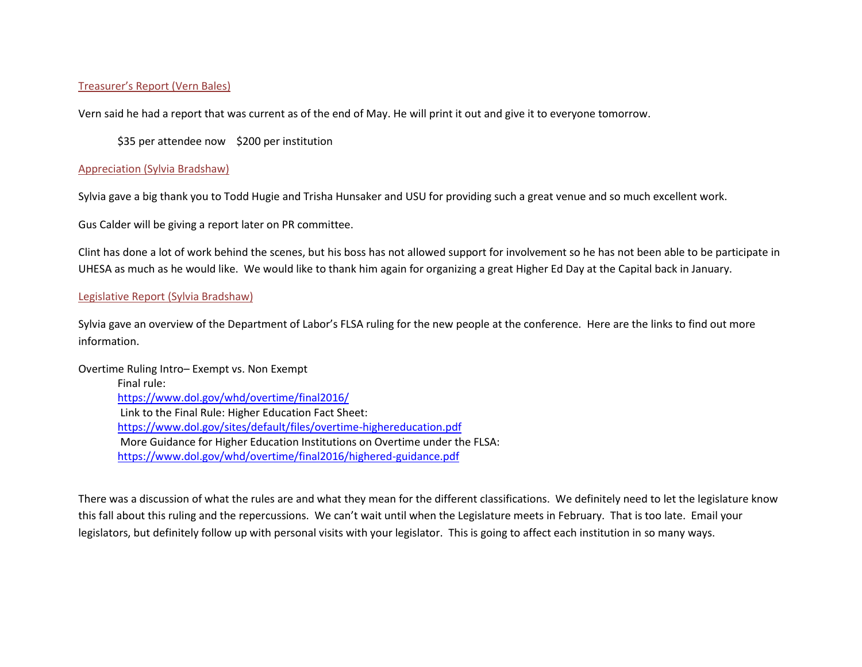# Treasurer's Report (Vern Bales)

Vern said he had a report that was current as of the end of May. He will print it out and give it to everyone tomorrow.

\$35 per attendee now \$200 per institution

## Appreciation (Sylvia Bradshaw)

Sylvia gave a big thank you to Todd Hugie and Trisha Hunsaker and USU for providing such a great venue and so much excellent work.

Gus Calder will be giving a report later on PR committee.

Clint has done a lot of work behind the scenes, but his boss has not allowed support for involvement so he has not been able to be participate in UHESA as much as he would like. We would like to thank him again for organizing a great Higher Ed Day at the Capital back in January.

# Legislative Report (Sylvia Bradshaw)

Sylvia gave an overview of the Department of Labor's FLSA ruling for the new people at the conference. Here are the links to find out more information.

Overtime Ruling Intro– Exempt vs. Non Exempt Final rule: <https://www.dol.gov/whd/overtime/final2016/> Link to the Final Rule: Higher Education Fact Sheet: <https://www.dol.gov/sites/default/files/overtime-highereducation.pdf> More Guidance for Higher Education Institutions on Overtime under the FLSA: <https://www.dol.gov/whd/overtime/final2016/highered-guidance.pdf>

There was a discussion of what the rules are and what they mean for the different classifications. We definitely need to let the legislature know this fall about this ruling and the repercussions. We can't wait until when the Legislature meets in February. That is too late. Email your legislators, but definitely follow up with personal visits with your legislator. This is going to affect each institution in so many ways.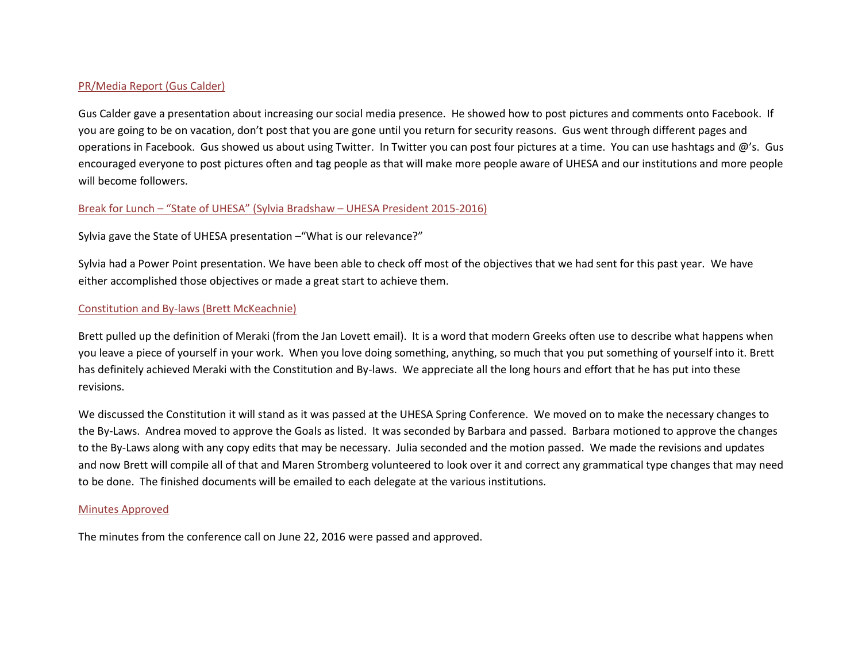# PR/Media Report (Gus Calder)

Gus Calder gave a presentation about increasing our social media presence. He showed how to post pictures and comments onto Facebook. If you are going to be on vacation, don't post that you are gone until you return for security reasons. Gus went through different pages and operations in Facebook. Gus showed us about using Twitter. In Twitter you can post four pictures at a time. You can use hashtags and @'s. Gus encouraged everyone to post pictures often and tag people as that will make more people aware of UHESA and our institutions and more people will become followers.

# Break for Lunch – "State of UHESA" (Sylvia Bradshaw – UHESA President 2015-2016)

# Sylvia gave the State of UHESA presentation –"What is our relevance?"

Sylvia had a Power Point presentation. We have been able to check off most of the objectives that we had sent for this past year. We have either accomplished those objectives or made a great start to achieve them.

# Constitution and By-laws (Brett McKeachnie)

Brett pulled up the definition of Meraki (from the Jan Lovett email). It is a word that modern Greeks often use to describe what happens when you leave a piece of yourself in your work. When you love doing something, anything, so much that you put something of yourself into it. Brett has definitely achieved Meraki with the Constitution and By-laws. We appreciate all the long hours and effort that he has put into these revisions.

We discussed the Constitution it will stand as it was passed at the UHESA Spring Conference. We moved on to make the necessary changes to the By-Laws. Andrea moved to approve the Goals as listed. It was seconded by Barbara and passed. Barbara motioned to approve the changes to the By-Laws along with any copy edits that may be necessary. Julia seconded and the motion passed. We made the revisions and updates and now Brett will compile all of that and Maren Stromberg volunteered to look over it and correct any grammatical type changes that may need to be done. The finished documents will be emailed to each delegate at the various institutions.

#### Minutes Approved

The minutes from the conference call on June 22, 2016 were passed and approved.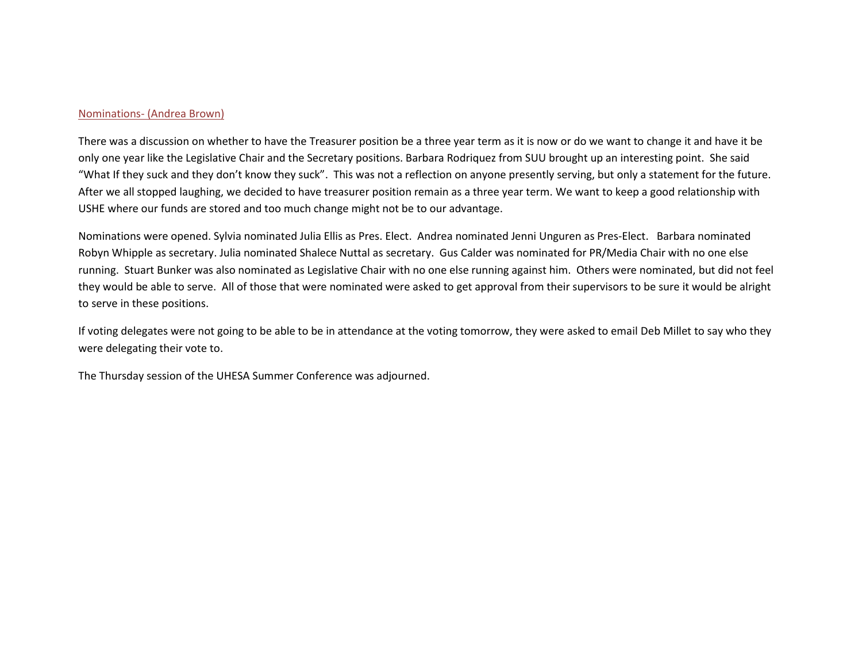#### Nominations- (Andrea Brown)

There was a discussion on whether to have the Treasurer position be a three year term as it is now or do we want to change it and have it be only one year like the Legislative Chair and the Secretary positions. Barbara Rodriquez from SUU brought up an interesting point. She said "What If they suck and they don't know they suck". This was not a reflection on anyone presently serving, but only a statement for the future. After we all stopped laughing, we decided to have treasurer position remain as a three year term. We want to keep a good relationship with USHE where our funds are stored and too much change might not be to our advantage.

Nominations were opened. Sylvia nominated Julia Ellis as Pres. Elect. Andrea nominated Jenni Unguren as Pres-Elect. Barbara nominated Robyn Whipple as secretary. Julia nominated Shalece Nuttal as secretary. Gus Calder was nominated for PR/Media Chair with no one else running. Stuart Bunker was also nominated as Legislative Chair with no one else running against him. Others were nominated, but did not feel they would be able to serve. All of those that were nominated were asked to get approval from their supervisors to be sure it would be alright to serve in these positions.

If voting delegates were not going to be able to be in attendance at the voting tomorrow, they were asked to email Deb Millet to say who they were delegating their vote to.

The Thursday session of the UHESA Summer Conference was adjourned.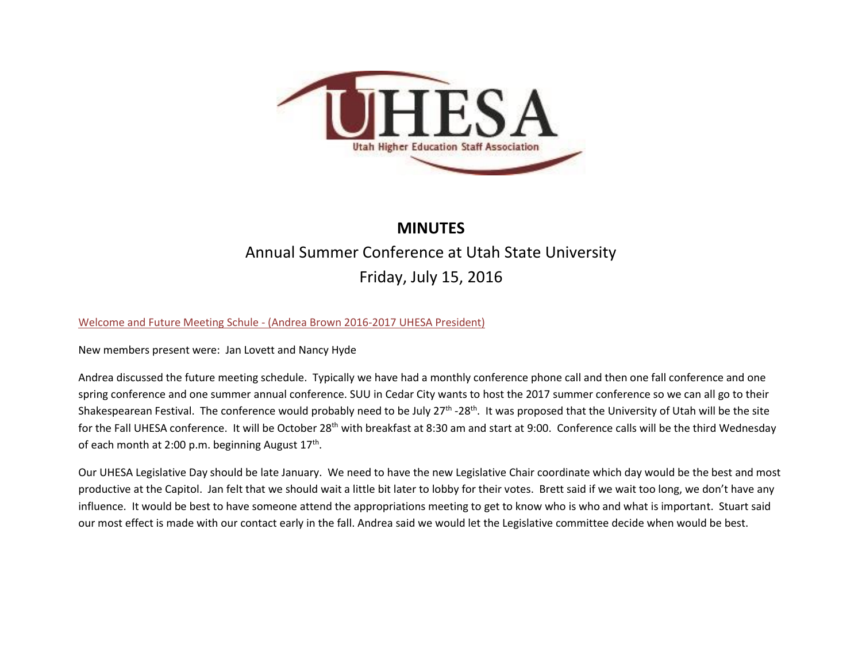

# **MINUTES**

# Annual Summer Conference at Utah State University Friday, July 15, 2016

# Welcome and Future Meeting Schule - (Andrea Brown 2016-2017 UHESA President)

New members present were: Jan Lovett and Nancy Hyde

Andrea discussed the future meeting schedule. Typically we have had a monthly conference phone call and then one fall conference and one spring conference and one summer annual conference. SUU in Cedar City wants to host the 2017 summer conference so we can all go to their Shakespearean Festival. The conference would probably need to be July 27<sup>th</sup> -28<sup>th</sup>. It was proposed that the University of Utah will be the site for the Fall UHESA conference. It will be October 28<sup>th</sup> with breakfast at 8:30 am and start at 9:00. Conference calls will be the third Wednesday of each month at 2:00 p.m. beginning August  $17<sup>th</sup>$ .

Our UHESA Legislative Day should be late January. We need to have the new Legislative Chair coordinate which day would be the best and most productive at the Capitol. Jan felt that we should wait a little bit later to lobby for their votes. Brett said if we wait too long, we don't have any influence. It would be best to have someone attend the appropriations meeting to get to know who is who and what is important. Stuart said our most effect is made with our contact early in the fall. Andrea said we would let the Legislative committee decide when would be best.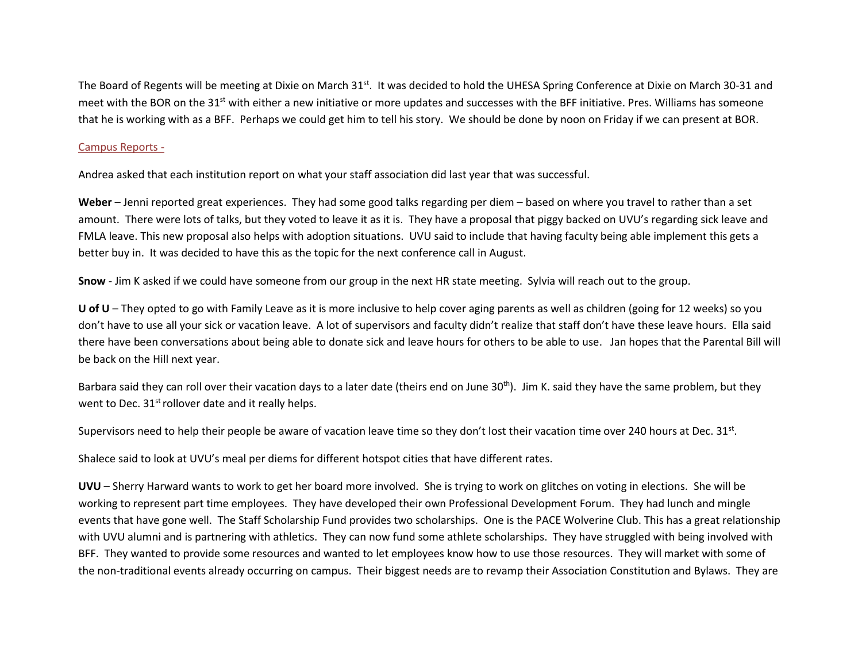The Board of Regents will be meeting at Dixie on March 31<sup>st</sup>. It was decided to hold the UHESA Spring Conference at Dixie on March 30-31 and meet with the BOR on the 31<sup>st</sup> with either a new initiative or more updates and successes with the BFF initiative. Pres. Williams has someone that he is working with as a BFF. Perhaps we could get him to tell his story. We should be done by noon on Friday if we can present at BOR.

#### Campus Reports -

Andrea asked that each institution report on what your staff association did last year that was successful.

**Weber** – Jenni reported great experiences. They had some good talks regarding per diem – based on where you travel to rather than a set amount. There were lots of talks, but they voted to leave it as it is. They have a proposal that piggy backed on UVU's regarding sick leave and FMLA leave. This new proposal also helps with adoption situations. UVU said to include that having faculty being able implement this gets a better buy in. It was decided to have this as the topic for the next conference call in August.

**Snow** - Jim K asked if we could have someone from our group in the next HR state meeting. Sylvia will reach out to the group.

**U of U** – They opted to go with Family Leave as it is more inclusive to help cover aging parents as well as children (going for 12 weeks) so you don't have to use all your sick or vacation leave. A lot of supervisors and faculty didn't realize that staff don't have these leave hours. Ella said there have been conversations about being able to donate sick and leave hours for others to be able to use. Jan hopes that the Parental Bill will be back on the Hill next year.

Barbara said they can roll over their vacation days to a later date (theirs end on June 30<sup>th</sup>). Jim K. said they have the same problem, but they went to Dec.  $31<sup>st</sup>$  rollover date and it really helps.

Supervisors need to help their people be aware of vacation leave time so they don't lost their vacation time over 240 hours at Dec. 31 $st$ .

Shalece said to look at UVU's meal per diems for different hotspot cities that have different rates.

**UVU** – Sherry Harward wants to work to get her board more involved. She is trying to work on glitches on voting in elections. She will be working to represent part time employees. They have developed their own Professional Development Forum. They had lunch and mingle events that have gone well. The Staff Scholarship Fund provides two scholarships. One is the PACE Wolverine Club. This has a great relationship with UVU alumni and is partnering with athletics. They can now fund some athlete scholarships. They have struggled with being involved with BFF. They wanted to provide some resources and wanted to let employees know how to use those resources. They will market with some of the non-traditional events already occurring on campus. Their biggest needs are to revamp their Association Constitution and Bylaws. They are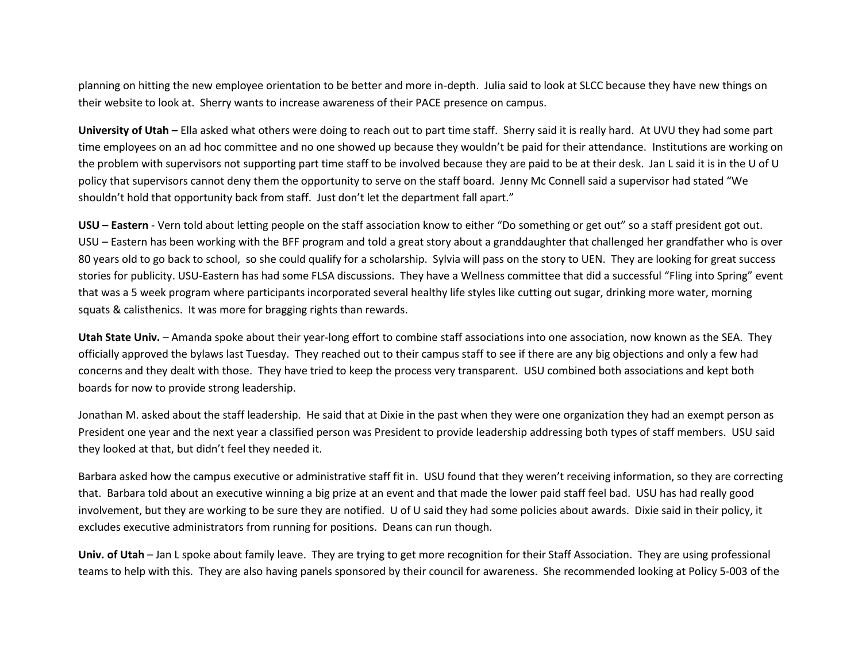planning on hitting the new employee orientation to be better and more in-depth. Julia said to look at SLCC because they have new things on their website to look at. Sherry wants to increase awareness of their PACE presence on campus.

**University of Utah –** Ella asked what others were doing to reach out to part time staff. Sherry said it is really hard. At UVU they had some part time employees on an ad hoc committee and no one showed up because they wouldn't be paid for their attendance. Institutions are working on the problem with supervisors not supporting part time staff to be involved because they are paid to be at their desk. Jan L said it is in the U of U policy that supervisors cannot deny them the opportunity to serve on the staff board. Jenny Mc Connell said a supervisor had stated "We shouldn't hold that opportunity back from staff. Just don't let the department fall apart."

**USU – Eastern** - Vern told about letting people on the staff association know to either "Do something or get out" so a staff president got out. USU – Eastern has been working with the BFF program and told a great story about a granddaughter that challenged her grandfather who is over 80 years old to go back to school, so she could qualify for a scholarship. Sylvia will pass on the story to UEN. They are looking for great success stories for publicity. USU-Eastern has had some FLSA discussions. They have a Wellness committee that did a successful "Fling into Spring" event that was a 5 week program where participants incorporated several healthy life styles like cutting out sugar, drinking more water, morning squats & calisthenics. It was more for bragging rights than rewards.

**Utah State Univ.** – Amanda spoke about their year-long effort to combine staff associations into one association, now known as the SEA. They officially approved the bylaws last Tuesday. They reached out to their campus staff to see if there are any big objections and only a few had concerns and they dealt with those. They have tried to keep the process very transparent. USU combined both associations and kept both boards for now to provide strong leadership.

Jonathan M. asked about the staff leadership. He said that at Dixie in the past when they were one organization they had an exempt person as President one year and the next year a classified person was President to provide leadership addressing both types of staff members. USU said they looked at that, but didn't feel they needed it.

Barbara asked how the campus executive or administrative staff fit in. USU found that they weren't receiving information, so they are correcting that. Barbara told about an executive winning a big prize at an event and that made the lower paid staff feel bad. USU has had really good involvement, but they are working to be sure they are notified. U of U said they had some policies about awards. Dixie said in their policy, it excludes executive administrators from running for positions. Deans can run though.

**Univ. of Utah** – Jan L spoke about family leave. They are trying to get more recognition for their Staff Association. They are using professional teams to help with this. They are also having panels sponsored by their council for awareness. She recommended looking at Policy 5-003 of the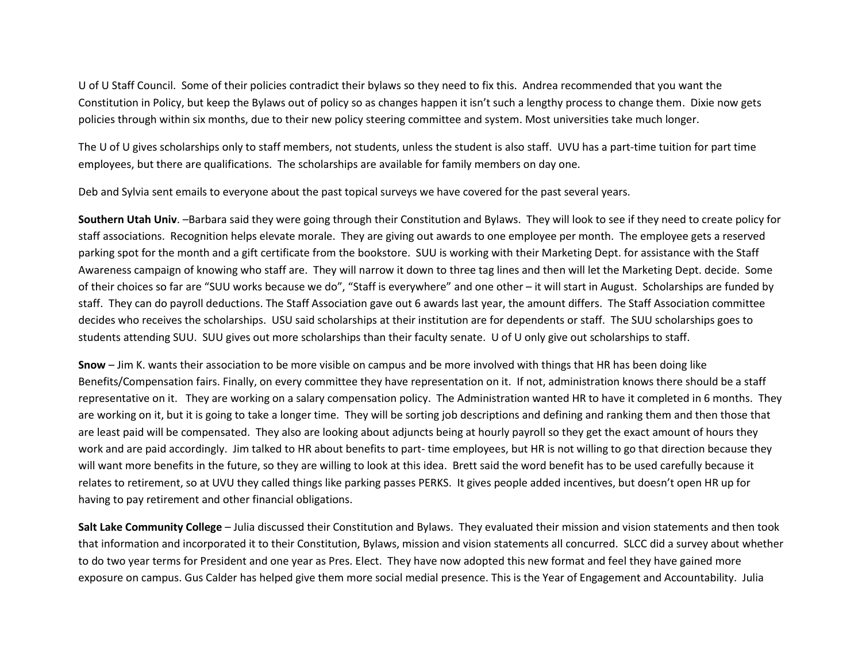U of U Staff Council. Some of their policies contradict their bylaws so they need to fix this. Andrea recommended that you want the Constitution in Policy, but keep the Bylaws out of policy so as changes happen it isn't such a lengthy process to change them. Dixie now gets policies through within six months, due to their new policy steering committee and system. Most universities take much longer.

The U of U gives scholarships only to staff members, not students, unless the student is also staff. UVU has a part-time tuition for part time employees, but there are qualifications. The scholarships are available for family members on day one.

Deb and Sylvia sent emails to everyone about the past topical surveys we have covered for the past several years.

**Southern Utah Univ**. –Barbara said they were going through their Constitution and Bylaws. They will look to see if they need to create policy for staff associations. Recognition helps elevate morale. They are giving out awards to one employee per month. The employee gets a reserved parking spot for the month and a gift certificate from the bookstore. SUU is working with their Marketing Dept. for assistance with the Staff Awareness campaign of knowing who staff are. They will narrow it down to three tag lines and then will let the Marketing Dept. decide. Some of their choices so far are "SUU works because we do", "Staff is everywhere" and one other – it will start in August. Scholarships are funded by staff. They can do payroll deductions. The Staff Association gave out 6 awards last year, the amount differs. The Staff Association committee decides who receives the scholarships. USU said scholarships at their institution are for dependents or staff. The SUU scholarships goes to students attending SUU. SUU gives out more scholarships than their faculty senate. U of U only give out scholarships to staff.

**Snow** – Jim K. wants their association to be more visible on campus and be more involved with things that HR has been doing like Benefits/Compensation fairs. Finally, on every committee they have representation on it. If not, administration knows there should be a staff representative on it. They are working on a salary compensation policy. The Administration wanted HR to have it completed in 6 months. They are working on it, but it is going to take a longer time. They will be sorting job descriptions and defining and ranking them and then those that are least paid will be compensated. They also are looking about adjuncts being at hourly payroll so they get the exact amount of hours they work and are paid accordingly. Jim talked to HR about benefits to part- time employees, but HR is not willing to go that direction because they will want more benefits in the future, so they are willing to look at this idea. Brett said the word benefit has to be used carefully because it relates to retirement, so at UVU they called things like parking passes PERKS. It gives people added incentives, but doesn't open HR up for having to pay retirement and other financial obligations.

**Salt Lake Community College** – Julia discussed their Constitution and Bylaws. They evaluated their mission and vision statements and then took that information and incorporated it to their Constitution, Bylaws, mission and vision statements all concurred. SLCC did a survey about whether to do two year terms for President and one year as Pres. Elect. They have now adopted this new format and feel they have gained more exposure on campus. Gus Calder has helped give them more social medial presence. This is the Year of Engagement and Accountability. Julia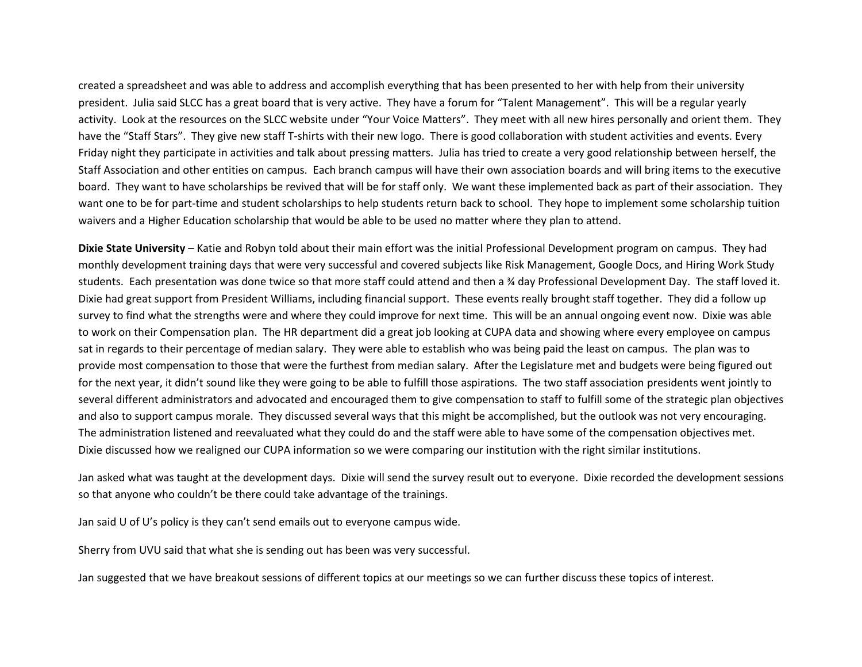created a spreadsheet and was able to address and accomplish everything that has been presented to her with help from their university president. Julia said SLCC has a great board that is very active. They have a forum for "Talent Management". This will be a regular yearly activity. Look at the resources on the SLCC website under "Your Voice Matters". They meet with all new hires personally and orient them. They have the "Staff Stars". They give new staff T-shirts with their new logo. There is good collaboration with student activities and events. Every Friday night they participate in activities and talk about pressing matters. Julia has tried to create a very good relationship between herself, the Staff Association and other entities on campus. Each branch campus will have their own association boards and will bring items to the executive board. They want to have scholarships be revived that will be for staff only. We want these implemented back as part of their association. They want one to be for part-time and student scholarships to help students return back to school. They hope to implement some scholarship tuition waivers and a Higher Education scholarship that would be able to be used no matter where they plan to attend.

**Dixie State University** – Katie and Robyn told about their main effort was the initial Professional Development program on campus. They had monthly development training days that were very successful and covered subjects like Risk Management, Google Docs, and Hiring Work Study students. Each presentation was done twice so that more staff could attend and then a ¾ day Professional Development Day. The staff loved it. Dixie had great support from President Williams, including financial support. These events really brought staff together. They did a follow up survey to find what the strengths were and where they could improve for next time. This will be an annual ongoing event now. Dixie was able to work on their Compensation plan. The HR department did a great job looking at CUPA data and showing where every employee on campus sat in regards to their percentage of median salary. They were able to establish who was being paid the least on campus. The plan was to provide most compensation to those that were the furthest from median salary. After the Legislature met and budgets were being figured out for the next year, it didn't sound like they were going to be able to fulfill those aspirations. The two staff association presidents went jointly to several different administrators and advocated and encouraged them to give compensation to staff to fulfill some of the strategic plan objectives and also to support campus morale. They discussed several ways that this might be accomplished, but the outlook was not very encouraging. The administration listened and reevaluated what they could do and the staff were able to have some of the compensation objectives met. Dixie discussed how we realigned our CUPA information so we were comparing our institution with the right similar institutions.

Jan asked what was taught at the development days. Dixie will send the survey result out to everyone. Dixie recorded the development sessions so that anyone who couldn't be there could take advantage of the trainings.

Jan said U of U's policy is they can't send emails out to everyone campus wide.

Sherry from UVU said that what she is sending out has been was very successful.

Jan suggested that we have breakout sessions of different topics at our meetings so we can further discuss these topics of interest.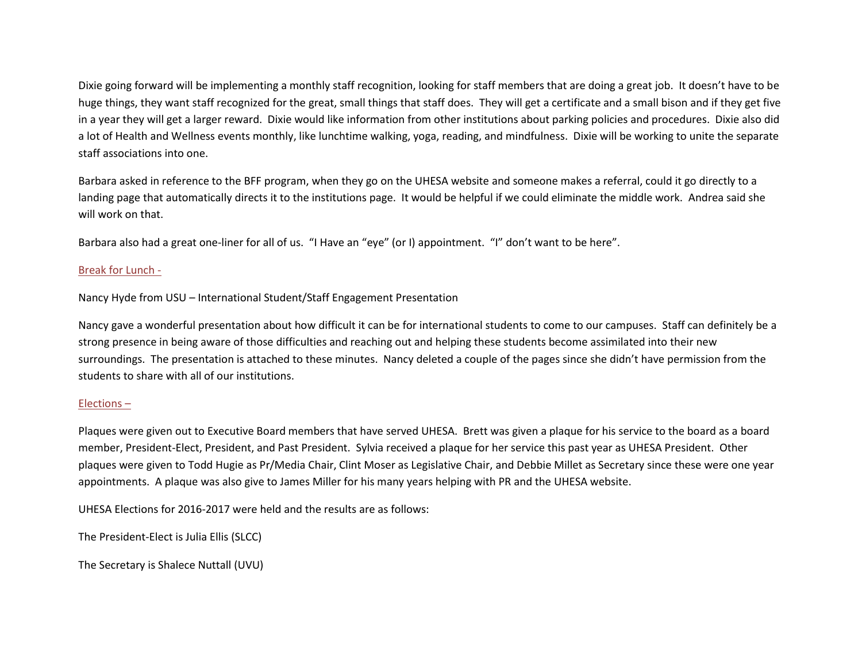Dixie going forward will be implementing a monthly staff recognition, looking for staff members that are doing a great job. It doesn't have to be huge things, they want staff recognized for the great, small things that staff does. They will get a certificate and a small bison and if they get five in a year they will get a larger reward. Dixie would like information from other institutions about parking policies and procedures. Dixie also did a lot of Health and Wellness events monthly, like lunchtime walking, yoga, reading, and mindfulness. Dixie will be working to unite the separate staff associations into one.

Barbara asked in reference to the BFF program, when they go on the UHESA website and someone makes a referral, could it go directly to a landing page that automatically directs it to the institutions page. It would be helpful if we could eliminate the middle work. Andrea said she will work on that.

Barbara also had a great one-liner for all of us. "I Have an "eye" (or I) appointment. "I" don't want to be here".

# Break for Lunch -

Nancy Hyde from USU – International Student/Staff Engagement Presentation

Nancy gave a wonderful presentation about how difficult it can be for international students to come to our campuses. Staff can definitely be a strong presence in being aware of those difficulties and reaching out and helping these students become assimilated into their new surroundings. The presentation is attached to these minutes. Nancy deleted a couple of the pages since she didn't have permission from the students to share with all of our institutions.

# Elections –

Plaques were given out to Executive Board members that have served UHESA. Brett was given a plaque for his service to the board as a board member, President-Elect, President, and Past President. Sylvia received a plaque for her service this past year as UHESA President. Other plaques were given to Todd Hugie as Pr/Media Chair, Clint Moser as Legislative Chair, and Debbie Millet as Secretary since these were one year appointments. A plaque was also give to James Miller for his many years helping with PR and the UHESA website.

UHESA Elections for 2016-2017 were held and the results are as follows:

The President-Elect is Julia Ellis (SLCC)

The Secretary is Shalece Nuttall (UVU)